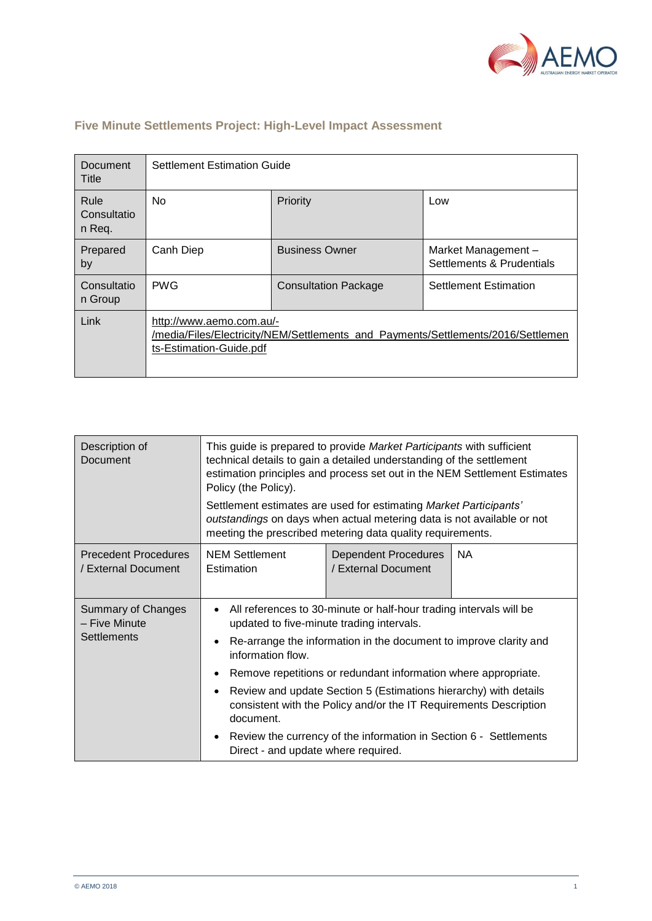

| Document<br>Title             | <b>Settlement Estimation Guide</b>                                                                                                      |                             |                                                 |  |  |
|-------------------------------|-----------------------------------------------------------------------------------------------------------------------------------------|-----------------------------|-------------------------------------------------|--|--|
| Rule<br>Consultatio<br>n Req. | No                                                                                                                                      | Priority                    | Low                                             |  |  |
| Prepared<br>by                | Canh Diep                                                                                                                               | <b>Business Owner</b>       | Market Management-<br>Settlements & Prudentials |  |  |
| Consultatio<br>n Group        | <b>PWG</b>                                                                                                                              | <b>Consultation Package</b> | <b>Settlement Estimation</b>                    |  |  |
| Link                          | http://www.aemo.com.au/-<br>/media/Files/Electricity/NEM/Settlements_and_Payments/Settlements/2016/Settlemen<br>ts-Estimation-Guide.pdf |                             |                                                 |  |  |

## **Five Minute Settlements Project: High-Level Impact Assessment**

| Description of<br>Document                                       | This guide is prepared to provide Market Participants with sufficient<br>technical details to gain a detailed understanding of the settlement<br>estimation principles and process set out in the NEM Settlement Estimates<br>Policy (the Policy). |                                                    |           |  |  |
|------------------------------------------------------------------|----------------------------------------------------------------------------------------------------------------------------------------------------------------------------------------------------------------------------------------------------|----------------------------------------------------|-----------|--|--|
|                                                                  | Settlement estimates are used for estimating Market Participants'<br>outstandings on days when actual metering data is not available or not<br>meeting the prescribed metering data quality requirements.                                          |                                                    |           |  |  |
| <b>Precedent Procedures</b><br>/ External Document               | <b>NEM Settlement</b><br>Estimation                                                                                                                                                                                                                | <b>Dependent Procedures</b><br>/ External Document | <b>NA</b> |  |  |
| <b>Summary of Changes</b><br>- Five Minute<br><b>Settlements</b> | All references to 30-minute or half-hour trading intervals will be<br>updated to five-minute trading intervals.<br>Re-arrange the information in the document to improve clarity and<br>information flow.                                          |                                                    |           |  |  |
|                                                                  | Remove repetitions or redundant information where appropriate.                                                                                                                                                                                     |                                                    |           |  |  |
|                                                                  | Review and update Section 5 (Estimations hierarchy) with details<br>consistent with the Policy and/or the IT Requirements Description<br>document.                                                                                                 |                                                    |           |  |  |
|                                                                  | Review the currency of the information in Section 6 - Settlements<br>Direct - and update where required.                                                                                                                                           |                                                    |           |  |  |